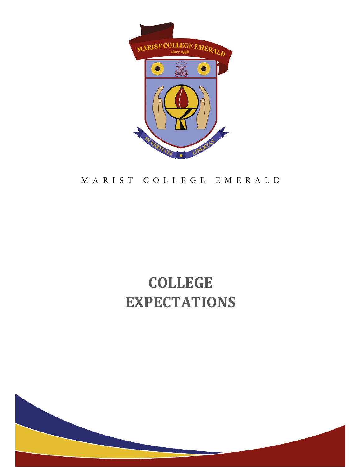

## MARIST COLLEGE EMERALD

# COLLEGE EXPECTATIONS

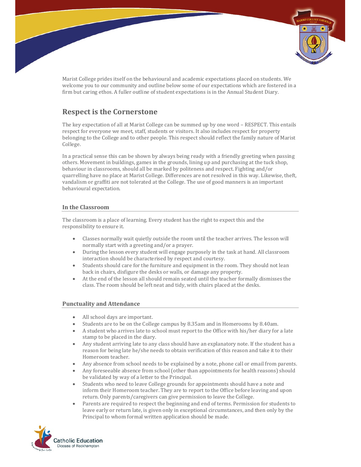

Marist College prides itself on the behavioural and academic expectations placed on students. We welcome you to our community and outline below some of our expectations which are fostered in a firm but caring ethos. A fuller outline of student expectations is in the Annual Student Diary.

### Respect is the Cornerstone

The key expectation of all at Marist College can be summed up by one word – RESPECT. This entails respect for everyone we meet, staff, students or visitors. It also includes respect for property belonging to the College and to other people. This respect should reflect the family nature of Marist College.

In a practical sense this can be shown by always being ready with a friendly greeting when passing others. Movement in buildings, games in the grounds, lining up and purchasing at the tuck shop, behaviour in classrooms, should all be marked by politeness and respect. Fighting and/or quarrelling have no place at Marist College. Differences are not resolved in this way. Likewise, theft, vandalism or graffiti are not tolerated at the College. The use of good manners is an important behavioural expectation.

#### In the Classroom

The classroom is a place of learning. Every student has the right to expect this and the responsibility to ensure it.

- Classes normally wait quietly outside the room until the teacher arrives. The lesson will normally start with a greeting and/or a prayer.
- During the lesson every student will engage purposely in the task at hand. All classroom interaction should be characterised by respect and courtesy.
- Students should care for the furniture and equipment in the room. They should not lean back in chairs, disfigure the desks or walls, or damage any property.
- At the end of the lesson all should remain seated until the teacher formally dismisses the class. The room should be left neat and tidy, with chairs placed at the desks.

#### Punctuality and Attendance

- All school days are important.
- Students are to be on the College campus by 8.35am and in Homerooms by 8.40am.
- A student who arrives late to school must report to the Office with his/her diary for a late stamp to be placed in the diary.
- Any student arriving late to any class should have an explanatory note. If the student has a reason for being late he/she needs to obtain verification of this reason and take it to their Homeroom teacher.
- Any absence from school needs to be explained by a note, phone call or email from parents.
- Any foreseeable absence from school (other than appointments for health reasons) should be validated by way of a letter to the Principal.
- Students who need to leave College grounds for appointments should have a note and inform their Homeroom teacher. They are to report to the Office before leaving and upon return. Only parents/caregivers can give permission to leave the College.
- Parents are required to respect the beginning and end of terms. Permission for students to leave early or return late, is given only in exceptional circumstances, and then only by the Principal to whom formal written application should be made.

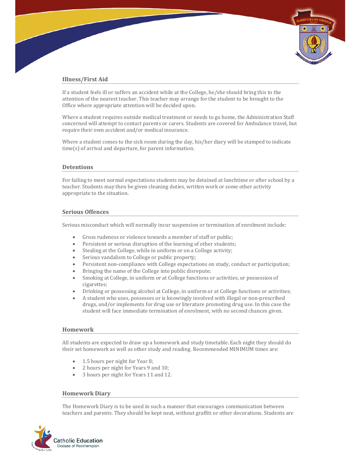#### Illness/First Aid

If a student feels ill or suffers an accident while at the College, he/she should bring this to the attention of the nearest teacher. This teacher may arrange for the student to be brought to the Office where appropriate attention will be decided upon.

Where a student requires outside medical treatment or needs to go home, the Administration Staff concerned will attempt to contact parents or carers. Students are covered for Ambulance travel, but require their own accident and/or medical insurance.

Where a student comes to the sick room during the day, his/her diary will be stamped to indicate time(s) of arrival and departure, for parent information.

#### **Detentions**

For failing to meet normal expectations students may be detained at lunchtime or after school by a teacher. Students may then be given cleaning duties, written work or some other activity appropriate to the situation.

#### Serious Offences

Serious misconduct which will normally incur suspension or termination of enrolment include:

- Gross rudeness or violence towards a member of staff or public;
- Persistent or serious disruption of the learning of other students;
- Stealing at the College, while in uniform or on a College activity;
- Serious vandalism to College or public property;
- Persistent non-compliance with College expectations on study, conduct or participation;
- Bringing the name of the College into public disrepute;
- Smoking at College, in uniform or at College functions or activities, or possession of cigarettes;
- Drinking or possessing alcohol at College, in uniform or at College functions or activities;
- A student who uses, possesses or is knowingly involved with illegal or non-prescribed drugs, and/or implements for drug use or literature promoting drug use. In this case the student will face immediate termination of enrolment, with no second chances given.

#### Homework

All students are expected to draw up a homework and study timetable. Each night they should do their set homework as well as other study and reading. Recommended MINIMUM times are:

- 1.5 hours per night for Year 8;
- 2 hours per night for Years 9 and 10;
- 3 hours per night for Years 11 and 12.

#### Homework Diary

The Homework Diary is to be used in such a manner that encourages communication between teachers and parents. They should be kept neat, without graffiti or other decorations. Students are